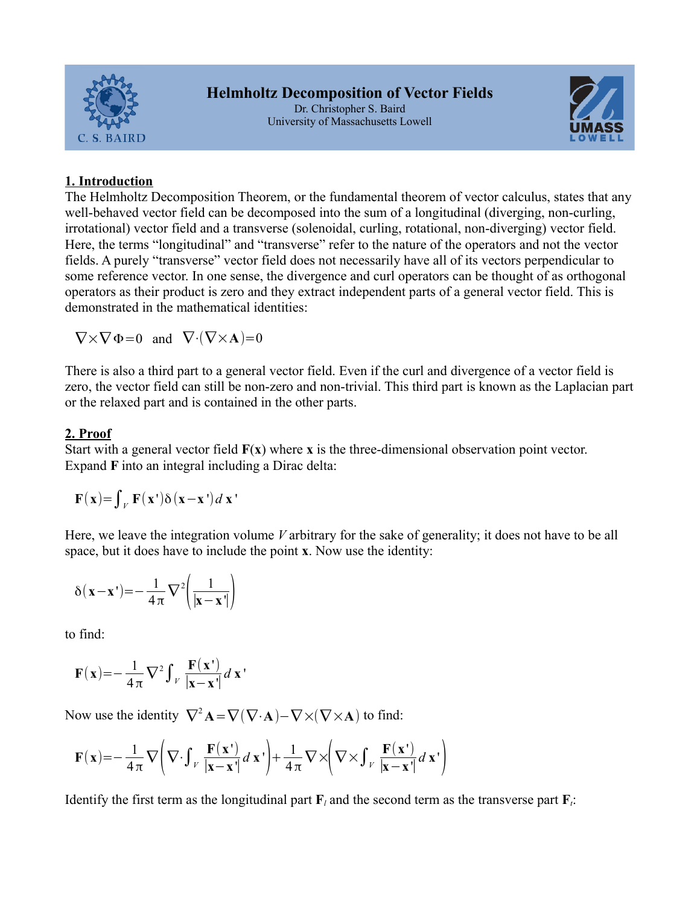



# **1. Introduction**

The Helmholtz Decomposition Theorem, or the fundamental theorem of vector calculus, states that any well-behaved vector field can be decomposed into the sum of a longitudinal (diverging, non-curling, irrotational) vector field and a transverse (solenoidal, curling, rotational, non-diverging) vector field. Here, the terms "longitudinal" and "transverse" refer to the nature of the operators and not the vector fields. A purely "transverse" vector field does not necessarily have all of its vectors perpendicular to some reference vector. In one sense, the divergence and curl operators can be thought of as orthogonal operators as their product is zero and they extract independent parts of a general vector field. This is demonstrated in the mathematical identities:

$$
\nabla \times \nabla \Phi = 0 \quad \text{and} \quad \nabla \cdot (\nabla \times \mathbf{A}) = 0
$$

There is also a third part to a general vector field. Even if the curl and divergence of a vector field is zero, the vector field can still be non-zero and non-trivial. This third part is known as the Laplacian part or the relaxed part and is contained in the other parts.

# **2. Proof**

Start with a general vector field **F**(**x**) where **x** is the three-dimensional observation point vector. Expand **F** into an integral including a Dirac delta:

$$
\mathbf{F}(\mathbf{x}) = \int_{V} \mathbf{F}(\mathbf{x}) \delta(\mathbf{x} - \mathbf{x}) d\mathbf{x}
$$

Here, we leave the integration volume *V* arbitrary for the sake of generality; it does not have to be all space, but it does have to include the point **x**. Now use the identity:

$$
\delta(\mathbf{x} - \mathbf{x}^{\mathsf{T}}) = -\frac{1}{4\pi} \nabla^{2} \left( \frac{1}{|\mathbf{x} - \mathbf{x}^{\mathsf{T}}|} \right)
$$

to find:

$$
\mathbf{F}(\mathbf{x}) = -\frac{1}{4\pi} \nabla^2 \int_V \frac{\mathbf{F}(\mathbf{x})}{|\mathbf{x} - \mathbf{x}'|} d\mathbf{x}'
$$

Now use the identity  $\nabla^2 \mathbf{A} = \nabla(\nabla \cdot \mathbf{A}) - \nabla \times (\nabla \times \mathbf{A})$  to find:

$$
\mathbf{F}(\mathbf{x}) = -\frac{1}{4\pi} \nabla \left( \nabla \cdot \int_{V} \frac{\mathbf{F}(\mathbf{x})}{|\mathbf{x} - \mathbf{x}'|} d \mathbf{x} \right) + \frac{1}{4\pi} \nabla \times \left( \nabla \times \int_{V} \frac{\mathbf{F}(\mathbf{x}')}{|\mathbf{x} - \mathbf{x}'|} d \mathbf{x} \right)
$$

Identify the first term as the longitudinal part  $\mathbf{F}_l$  and the second term as the transverse part  $\mathbf{F}_l$ :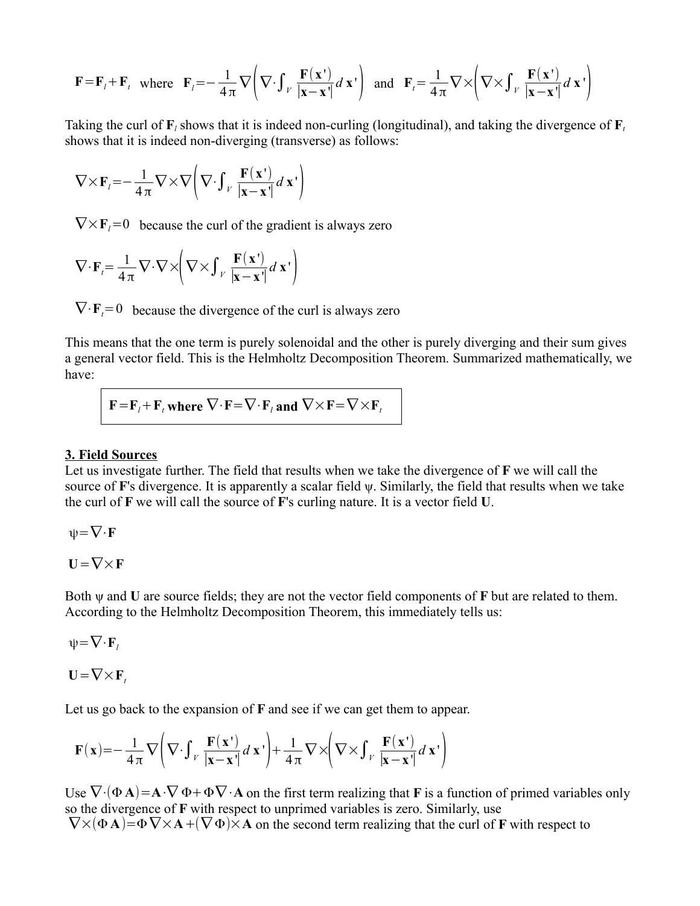$$
\mathbf{F} = \mathbf{F}_l + \mathbf{F}_t \text{ where } \mathbf{F}_l = -\frac{1}{4\pi} \nabla \left( \nabla \cdot \int_V \frac{\mathbf{F}(\mathbf{x}^*)}{|\mathbf{x} - \mathbf{x}^*|} d\mathbf{x}^* \right) \text{ and } \mathbf{F}_l = \frac{1}{4\pi} \nabla \times \left( \nabla \times \int_V \frac{\mathbf{F}(\mathbf{x}^*)}{|\mathbf{x} - \mathbf{x}^*|} d\mathbf{x}^* \right)
$$

Taking the curl of  $\mathbf{F}_l$  shows that it is indeed non-curling (longitudinal), and taking the divergence of  $\mathbf{F}_t$ shows that it is indeed non-diverging (transverse) as follows:

$$
\nabla \times \mathbf{F}_l = -\frac{1}{4\pi} \nabla \times \nabla \left( \nabla \cdot \int_V \frac{\mathbf{F}(\mathbf{x}^{\mathsf{T}})}{|\mathbf{x} - \mathbf{x}^{\mathsf{T}}|} d \mathbf{x}^{\mathsf{T}} \right)
$$

 $\nabla \times \mathbf{F}_i = 0$  because the curl of the gradient is always zero

$$
\nabla \cdot \mathbf{F}_t = \frac{1}{4\pi} \nabla \cdot \nabla \times \left( \nabla \times \int_V \frac{\mathbf{F}(\mathbf{x}^{\mathsf{T}})}{|\mathbf{x} - \mathbf{x}^{\mathsf{T}}|} d \mathbf{x}^{\mathsf{T}} \right)
$$

 $\nabla \cdot \mathbf{F}_t = 0$  because the divergence of the curl is always zero

This means that the one term is purely solenoidal and the other is purely diverging and their sum gives a general vector field. This is the Helmholtz Decomposition Theorem. Summarized mathematically, we have:

$$
\mathbf{F} = \mathbf{F}_t + \mathbf{F}_t
$$
 where  $\nabla \cdot \mathbf{F} = \nabla \cdot \mathbf{F}_t$  and  $\nabla \times \mathbf{F} = \nabla \times \mathbf{F}_t$ 

#### **3. Field Sources**

Let us investigate further. The field that results when we take the divergence of **F** we will call the source of **F**'s divergence. It is apparently a scalar field ψ. Similarly, the field that results when we take the curl of **F** we will call the source of **F**'s curling nature. It is a vector field **U**.

 $\psi = \nabla \cdot \mathbf{F}$ 

$$
U = \nabla \times F
$$

Both ψ and **U** are source fields; they are not the vector field components of **F** but are related to them. According to the Helmholtz Decomposition Theorem, this immediately tells us:

 $\psi = \nabla \cdot \mathbf{F}$ 

 $U = \nabla \times F_t$ 

Let us go back to the expansion of **F** and see if we can get them to appear.

$$
\mathbf{F}(\mathbf{x}) = -\frac{1}{4\pi} \nabla \left( \nabla \cdot \int_V \frac{\mathbf{F}(\mathbf{x})}{|\mathbf{x} - \mathbf{x}'|} d\mathbf{x}' \right) + \frac{1}{4\pi} \nabla \times \left( \nabla \times \int_V \frac{\mathbf{F}(\mathbf{x}')}{|\mathbf{x} - \mathbf{x}'|} d\mathbf{x}' \right)
$$

Use  $\nabla \cdot (\Phi \mathbf{A}) = \mathbf{A} \cdot \nabla \Phi + \Phi \nabla \cdot \mathbf{A}$  on the first term realizing that **F** is a function of primed variables only so the divergence of **F** with respect to unprimed variables is zero. Similarly, use  $\nabla \times (\Phi \mathbf{A}) = \Phi \nabla \times \mathbf{A} + (\nabla \Phi) \times \mathbf{A}$  on the second term realizing that the curl of **F** with respect to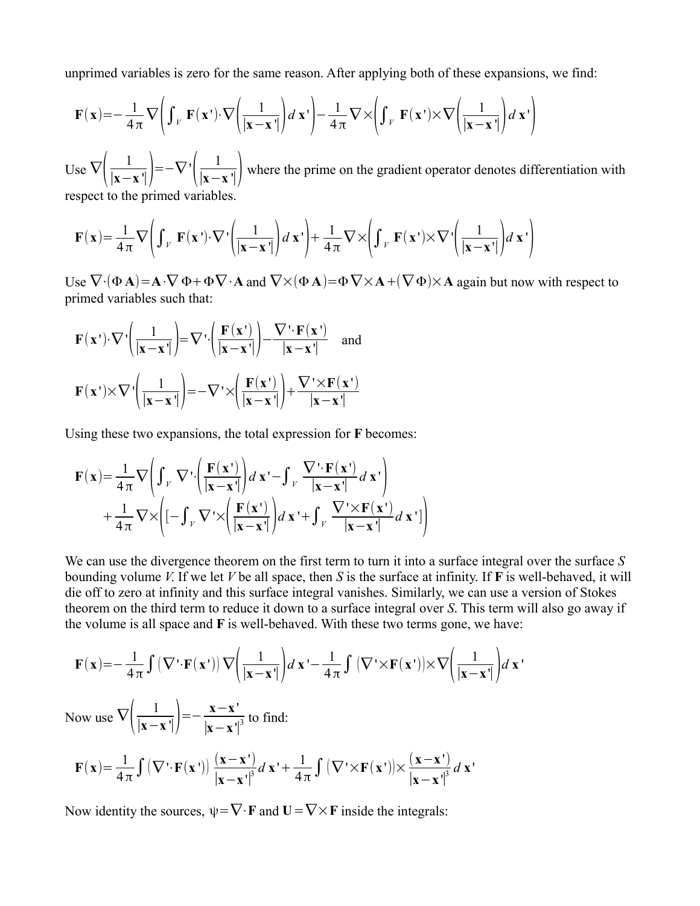unprimed variables is zero for the same reason. After applying both of these expansions, we find:

$$
\mathbf{F}(\mathbf{x}) = -\frac{1}{4\pi} \nabla \left( \int_V \mathbf{F}(\mathbf{x}') \cdot \nabla \left( \frac{1}{|\mathbf{x} - \mathbf{x}'|} \right) d\mathbf{x}' \right) - \frac{1}{4\pi} \nabla \times \left( \int_V \mathbf{F}(\mathbf{x}') \times \nabla \left( \frac{1}{|\mathbf{x} - \mathbf{x}'|} \right) d\mathbf{x}' \right)
$$

Use  $\nabla\left(\frac{1}{|\mathbf{x}-\mathbf{I}|}\right)$  $\frac{1}{|\mathbf{x}-\mathbf{x}^{\mathsf{T}}|}$  =− $\nabla$  ' $\left(\frac{1}{|\mathbf{x}-\mathbf{x}^{\mathsf{T}}|}\right)$  where the prime on the gradient operator denotes differentiation with respect to the primed variables.

 $\mathbf{F}(\mathbf{x}) = \frac{1}{4}$  $\frac{1}{4\pi}\nabla\left(\int_V \mathbf{F}(\mathbf{x}\cdot)\cdot\nabla\cdot\left(\frac{1}{|\mathbf{x}-\mathbf{x}\cdot\mathbf{r}'|}\right)\right)$  $\frac{1}{|\mathbf{x}-\mathbf{x}|}\bigg) d\mathbf{x}$ <sup>+</sup> $\bigg) + \frac{1}{4}$  $\frac{1}{4\pi}\nabla\times\left(\int_{V}\mathbf{F}(\mathbf{x}')\times\nabla'\right|\frac{1}{|\mathbf{x}-\mathbf{x}'|}$  $\frac{1}{|\mathbf{x}-\mathbf{x}'|}$   $\left| d \mathbf{x}' \right|$ 

Use  $\nabla \cdot (\Phi \mathbf{A}) = \mathbf{A} \cdot \nabla \Phi + \Phi \nabla \cdot \mathbf{A}$  and  $\nabla \times (\Phi \mathbf{A}) = \Phi \nabla \times \mathbf{A} + (\nabla \Phi) \times \mathbf{A}$  again but now with respect to primed variables such that:

$$
\mathbf{F}(\mathbf{x}') \cdot \nabla' \left( \frac{1}{|\mathbf{x} - \mathbf{x}'|} \right) = \nabla' \cdot \left( \frac{\mathbf{F}(\mathbf{x}')}{|\mathbf{x} - \mathbf{x}'|} \right) - \frac{\nabla' \cdot \mathbf{F}(\mathbf{x}')}{|\mathbf{x} - \mathbf{x}'|} \text{ and }
$$

$$
\mathbf{F}(\mathbf{x}') \times \nabla' \left( \frac{1}{|\mathbf{x} - \mathbf{x}'|} \right) = -\nabla' \times \left( \frac{\mathbf{F}(\mathbf{x}')}{|\mathbf{x} - \mathbf{x}'|} \right) + \frac{\nabla' \times \mathbf{F}(\mathbf{x}')}{|\mathbf{x} - \mathbf{x}'|}
$$

Using these two expansions, the total expression for **F** becomes:

$$
\mathbf{F}(\mathbf{x}) = \frac{1}{4\pi} \nabla \left( \int_{V} \nabla \cdot \left( \frac{\mathbf{F}(\mathbf{x})}{|\mathbf{x} - \mathbf{x}'|} \right) d \mathbf{x}' - \int_{V} \frac{\nabla \cdot \mathbf{F}(\mathbf{x}')}{|\mathbf{x} - \mathbf{x}'|} d \mathbf{x}' \right) + \frac{1}{4\pi} \nabla \times \left( [-\int_{V} \nabla \cdot \times \left( \frac{\mathbf{F}(\mathbf{x}')}{|\mathbf{x} - \mathbf{x}'|} \right) d \mathbf{x}' + \int_{V} \frac{\nabla' \times \mathbf{F}(\mathbf{x}')}{|\mathbf{x} - \mathbf{x}'|} d \mathbf{x}' \right)
$$

We can use the divergence theorem on the first term to turn it into a surface integral over the surface *S* bounding volume *V*. If we let *V* be all space, then *S* is the surface at infinity. If **F** is well-behaved, it will die off to zero at infinity and this surface integral vanishes. Similarly, we can use a version of Stokes theorem on the third term to reduce it down to a surface integral over *S*. This term will also go away if the volume is all space and **F** is well-behaved. With these two terms gone, we have:

$$
\mathbf{F}(\mathbf{x}) = -\frac{1}{4\pi} \int (\nabla \cdot \mathbf{F}(\mathbf{x}^{\mathsf{T}})) \nabla \left( \frac{1}{|\mathbf{x} - \mathbf{x}^{\mathsf{T}}|} \right) d\mathbf{x}^{\mathsf{T}} - \frac{1}{4\pi} \int (\nabla \cdot \times \mathbf{F}(\mathbf{x}^{\mathsf{T}})) \times \nabla \left( \frac{1}{|\mathbf{x} - \mathbf{x}^{\mathsf{T}}|} \right) d\mathbf{x}^{\mathsf{T}}
$$

Now use  $\nabla\left(\frac{1}{|\mathbf{x}-\mathbf{I}|}\right)$  $\left| \frac{1}{\mathbf{x} - \mathbf{x}^{\mathsf{T}}} \right| = -\frac{\mathbf{x} - \mathbf{x}^{\mathsf{T}}}{\mathbf{x} - \mathbf{x}^{\mathsf{T}}}$  $\frac{\mathbf{x} - \mathbf{x}}{|\mathbf{x} - \mathbf{x}'|^{3}}$  to find:

$$
\mathbf{F}(\mathbf{x}) = \frac{1}{4\pi} \int (\nabla \cdot \mathbf{F}(\mathbf{x}^{\cdot})) \frac{(\mathbf{x} - \mathbf{x}^{\cdot})}{|\mathbf{x} - \mathbf{x}^{\cdot}|^{3}} d \mathbf{x}^{\cdot} + \frac{1}{4\pi} \int (\nabla \cdot \times \mathbf{F}(\mathbf{x}^{\cdot})) \times \frac{(\mathbf{x} - \mathbf{x}^{\cdot})}{|\mathbf{x} - \mathbf{x}^{\cdot}|^{3}} d \mathbf{x}^{\cdot}
$$

Now identity the sources,  $\psi = \nabla \cdot \mathbf{F}$  and  $\mathbf{U} = \nabla \times \mathbf{F}$  inside the integrals: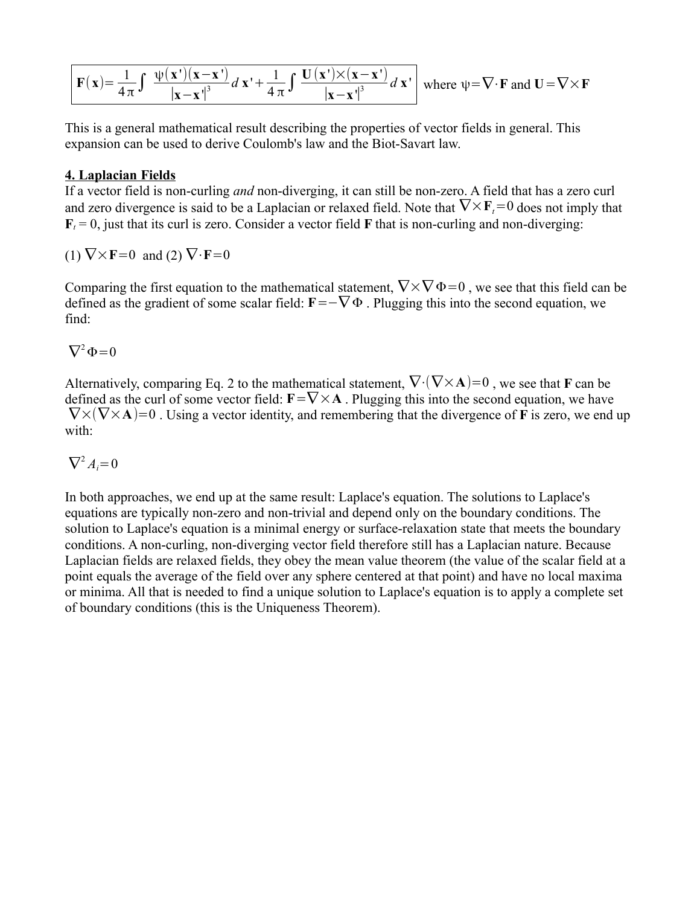$$
\boxed{\mathbf{F}(\mathbf{x}) = \frac{1}{4\pi} \int \frac{\psi(\mathbf{x}')(\mathbf{x} - \mathbf{x}')}{|\mathbf{x} - \mathbf{x}'|^{3}} d\mathbf{x}' + \frac{1}{4\pi} \int \frac{\mathbf{U}(\mathbf{x}') \times (\mathbf{x} - \mathbf{x}')}{|\mathbf{x} - \mathbf{x}'|^{3}} d\mathbf{x}'}
$$
 where  $\psi = \nabla \cdot \mathbf{F}$  and  $\mathbf{U} = \nabla \times \mathbf{F}$ 

This is a general mathematical result describing the properties of vector fields in general. This expansion can be used to derive Coulomb's law and the Biot-Savart law.

### **4. Laplacian Fields**

If a vector field is non-curling *and* non-diverging, it can still be non-zero. A field that has a zero curl and zero divergence is said to be a Laplacian or relaxed field. Note that  $\nabla \times \mathbf{F}_t = 0$  does not imply that  $\mathbf{F}_t = 0$ , just that its curl is zero. Consider a vector field **F** that is non-curling and non-diverging:

 $(1) \nabla \times \mathbf{F} = 0$  and  $(2) \nabla \cdot \mathbf{F} = 0$ 

Comparing the first equation to the mathematical statement,  $\nabla \times \nabla \Phi = 0$ , we see that this field can be defined as the gradient of some scalar field:  $\mathbf{F}=-\nabla \Phi$ . Plugging this into the second equation, we find:

 $\nabla^2 \Phi = 0$ 

Alternatively, comparing Eq. 2 to the mathematical statement,  $\nabla \cdot (\nabla \times \mathbf{A}) = 0$ , we see that **F** can be defined as the curl of some vector field:  $\mathbf{F}=\nabla\times\mathbf{A}$ . Plugging this into the second equation, we have  $\nabla \times (\nabla \times \mathbf{A})=0$ . Using a vector identity, and remembering that the divergence of **F** is zero, we end up with:

$$
\nabla^2 A_i = 0
$$

In both approaches, we end up at the same result: Laplace's equation. The solutions to Laplace's equations are typically non-zero and non-trivial and depend only on the boundary conditions. The solution to Laplace's equation is a minimal energy or surface-relaxation state that meets the boundary conditions. A non-curling, non-diverging vector field therefore still has a Laplacian nature. Because Laplacian fields are relaxed fields, they obey the mean value theorem (the value of the scalar field at a point equals the average of the field over any sphere centered at that point) and have no local maxima or minima. All that is needed to find a unique solution to Laplace's equation is to apply a complete set of boundary conditions (this is the Uniqueness Theorem).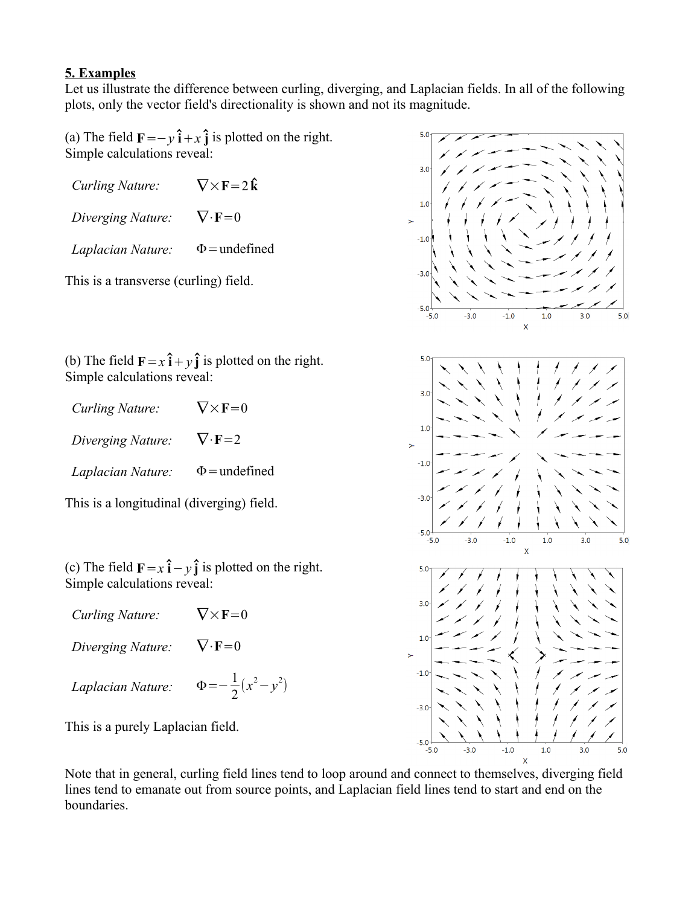# **5. Examples**

Let us illustrate the difference between curling, diverging, and Laplacian fields. In all of the following plots, only the vector field's directionality is shown and not its magnitude.

(a) The field  $\mathbf{F} = -y\hat{\mathbf{i}} + x\hat{\mathbf{j}}$  is plotted on the right. Simple calculations reveal:

| <b>Curling Nature:</b> | $\nabla \times \mathbf{F} = 2\hat{\mathbf{k}}$ |
|------------------------|------------------------------------------------|
| Diverging Nature:      | $\nabla \cdot \mathbf{F} = 0$                  |
| Laplacian Nature:      | $\Phi$ = undefined                             |

This is a transverse (curling) field.

(b) The field  $\mathbf{F} = x\hat{\mathbf{i}} + y\hat{\mathbf{j}}$  is plotted on the right. Simple calculations reveal:

| Curling Nature:   | $\nabla \times {\bf F} = 0$   |
|-------------------|-------------------------------|
| Diverging Nature: | $\nabla \cdot \mathbf{F} = 2$ |
| Laplacian Nature: | $\Phi$ = undefined            |

This is a longitudinal (diverging) field.

(c) The field  $\mathbf{F} = x\hat{\mathbf{i}} - y\hat{\mathbf{j}}$  is plotted on the right. Simple calculations reveal:

| Curling Nature:   | $\nabla \times {\bf F} = 0$      |
|-------------------|----------------------------------|
| Diverging Nature: | $V \cdot F = 0$                  |
| Laplacian Nature: | $\Phi = -\frac{1}{2}(x^2 - y^2)$ |

This is a purely Laplacian field.

 $5.0$  $3.0$  $1.0$  $-1.0$  $-3.0$  $-5.0$  $-3.0$  $-5.0$  $-1.0$  $1.0$  $3.0$  $5.0$  $3.0$  $1.0$  $\overline{\phantom{0}}$  $-1.0$  $-3.0$  $-1.0$  $1.0$  $3.0$  $5.0$  $\overline{\mathsf{x}}$  $5.0$  $3.0$  $1.0$  $-1.0$  $-3.0$  $-5.0$  $-5.0$  $-3.0$  $-1.0$  $1.0$  $3.0$  $5.0$ 

Note that in general, curling field lines tend to loop around and connect to themselves, diverging field lines tend to emanate out from source points, and Laplacian field lines tend to start and end on the boundaries.